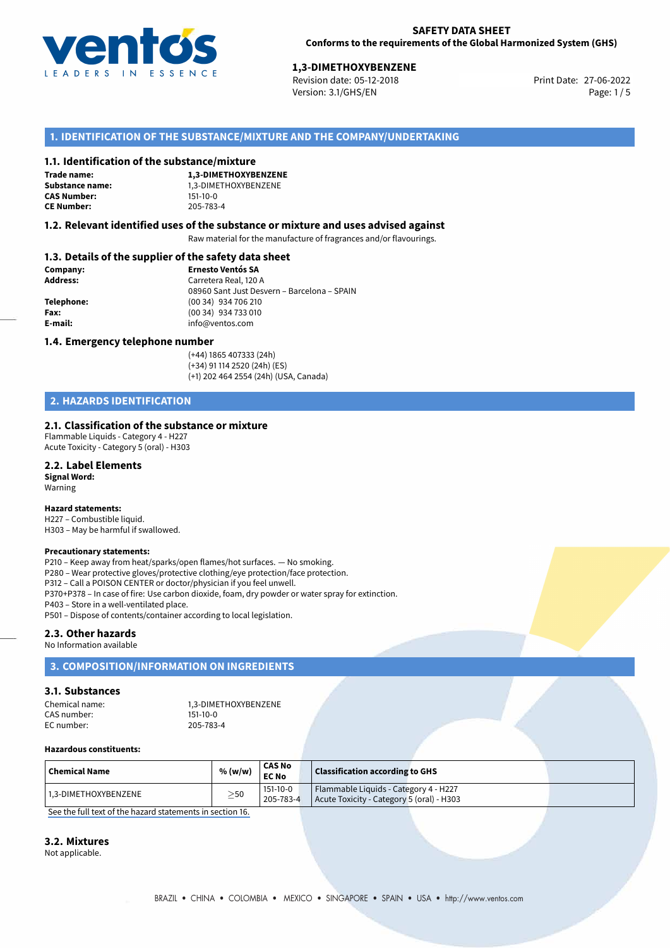

# **1,3-DIMETHOXYBENZENE**<br>
Revision date: 05-12-2018<br> **1.27-06-2022** Print Date: 27-06-2022

Revision date: 05-12-2018 Version: 3.1/GHS/EN Page: 1 / 5

# **1. IDENTIFICATION OF THE SUBSTANCE/MIXTURE AND THE COMPANY/UNDERTAKING**

### **1.1. Identification of the substance/mixture**

**Trade name: CAS Number: CE Number:** 205-783-4

**1,3-DIMETHOXYBENZENE Substance name:** 1,3-DIMETHOXYBENZENE<br> **CAS Number:** 151-10-0

## **1.2. Relevant identified uses of the substance or mixture and uses advised against**

Raw material for the manufacture of fragrances and/or flavourings.

# **1.3. Details of the supplier of the safety data sheet**

| Company:        | <b>Ernesto Ventós SA</b>                    |
|-----------------|---------------------------------------------|
| <b>Address:</b> | Carretera Real, 120 A                       |
|                 | 08960 Sant Just Desvern - Barcelona - SPAIN |
| Telephone:      | (00 34) 934 706 210                         |
| Fax:            | (00 34) 934 733 010                         |
| E-mail:         | info@ventos.com                             |
|                 |                                             |

### **1.4. Emergency telephone number**

(+44) 1865 407333 (24h) (+34) 91 114 2520 (24h) (ES) (+1) 202 464 2554 (24h) (USA, Canada)

# **2. HAZARDS IDENTIFICATION**

### **2.1. Classification of the substance or mixture**

Flammable Liquids - Category 4 - H227 Acute Toxicity - Category 5 (oral) - H303

# **2.2. Label Elements**

**Signal Word:** Warning

#### **Hazard statements:**

H227 – Combustible liquid. H303 – May be harmful if swallowed.

#### **Precautionary statements:**

P210 – Keep away from heat/sparks/open flames/hot surfaces. — No smoking. P280 – Wear protective gloves/protective clothing/eye protection/face protection. P312 – Call a POISON CENTER or doctor/physician if you feel unwell. P370+P378 – In case of fire: Use carbon dioxide, foam, dry powder or water spray for extinction. P403 – Store in a well-ventilated place.

P501 – Dispose of contents/container according to local legislation.

# **2.3. Other hazards**

#### No Information available

# **3. COMPOSITION/INFORMATION ON INGREDIENTS**

#### **3.1. Substances**

Chemical name: 1,3-DIMETHOXYBENZENE<br>CAS number: 151-10-0 CAS number: EC number: 205-783-4

#### **Hazardous constituents:**

| $\mid$ Chemical Name | % (w/w)   | <b>CAS No</b><br><b>EC No</b> | <b>Classification according to GHS</b>                                             |  |
|----------------------|-----------|-------------------------------|------------------------------------------------------------------------------------|--|
| 1.3-DIMETHOXYBENZENE | $\geq$ 50 | 151-10-0<br>205-783-4         | Flammable Liquids - Category 4 - H227<br>Acute Toxicity - Category 5 (oral) - H303 |  |

[See the full text of the hazard statements in section 16.](#page--1-0)

# **3.2. Mixtures**

Not applicable.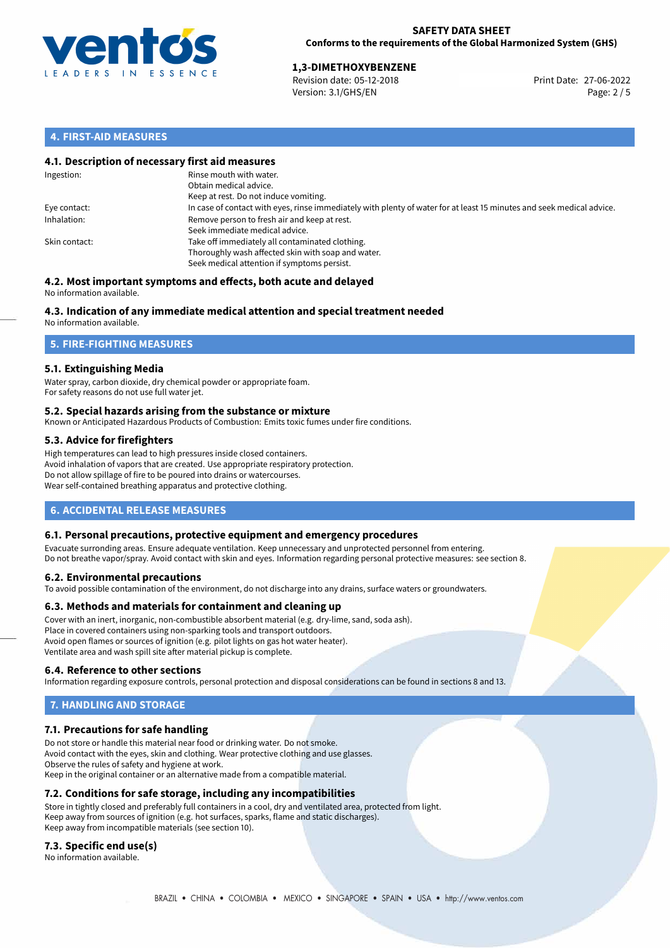

# **1,3-DIMETHOXYBENZENE**<br>
Revision date: 05-12-2018<br> **Print Date: 27-06-2022**

Revision date: 05-12-2018 Version: 3.1/GHS/EN Page: 2 / 5

# **4. FIRST-AID MEASURES**

# **4.1. Description of necessary first aid measures**

| Ingestion:    | Rinse mouth with water.<br>Obtain medical advice.<br>Keep at rest. Do not induce vomiting.                                                           |
|---------------|------------------------------------------------------------------------------------------------------------------------------------------------------|
| Eye contact:  | In case of contact with eyes, rinse immediately with plenty of water for at least 15 minutes and seek medical advice.                                |
| Inhalation:   | Remove person to fresh air and keep at rest.<br>Seek immediate medical advice.                                                                       |
| Skin contact: | Take off immediately all contaminated clothing.<br>Thoroughly wash affected skin with soap and water.<br>Seek medical attention if symptoms persist. |

#### **4.2. Most important symptoms and effects, both acute and delayed** No information available.

# **4.3. Indication of any immediate medical attention and special treatment needed**

No information available.

# **5. FIRE-FIGHTING MEASURES**

# **5.1. Extinguishing Media**

Water spray, carbon dioxide, dry chemical powder or appropriate foam. For safety reasons do not use full water jet.

# **5.2. Special hazards arising from the substance or mixture**

Known or Anticipated Hazardous Products of Combustion: Emits toxic fumes under fire conditions.

# **5.3. Advice for firefighters**

High temperatures can lead to high pressures inside closed containers. Avoid inhalation of vapors that are created. Use appropriate respiratory protection. Do not allow spillage of fire to be poured into drains or watercourses. Wear self-contained breathing apparatus and protective clothing.

# **6. ACCIDENTAL RELEASE MEASURES**

# **6.1. Personal precautions, protective equipment and emergency procedures**

Evacuate surronding areas. Ensure adequate ventilation. Keep unnecessary and unprotected personnel from entering. Do not breathe vapor/spray. Avoid contact with skin and eyes. Information regarding personal protective measures: see section 8.

# **6.2. Environmental precautions**

To avoid possible contamination of the environment, do not discharge into any drains, surface waters or groundwaters.

# **6.3. Methods and materials for containment and cleaning up**

Cover with an inert, inorganic, non-combustible absorbent material (e.g. dry-lime, sand, soda ash). Place in covered containers using non-sparking tools and transport outdoors. Avoid open flames or sources of ignition (e.g. pilot lights on gas hot water heater). Ventilate area and wash spill site after material pickup is complete.

# **6.4. Reference to other sections**

Information regarding exposure controls, personal protection and disposal considerations can be found in sections 8 and 13.

# **7. HANDLING AND STORAGE**

# **7.1. Precautions for safe handling**

Do not store or handle this material near food or drinking water. Do not smoke. Avoid contact with the eyes, skin and clothing. Wear protective clothing and use glasses. Observe the rules of safety and hygiene at work. Keep in the original container or an alternative made from a compatible material.

# **7.2. Conditions for safe storage, including any incompatibilities**

Store in tightly closed and preferably full containers in a cool, dry and ventilated area, protected from light. Keep away from sources of ignition (e.g. hot surfaces, sparks, flame and static discharges). Keep away from incompatible materials (see section 10).

# **7.3. Specific end use(s)**

No information available.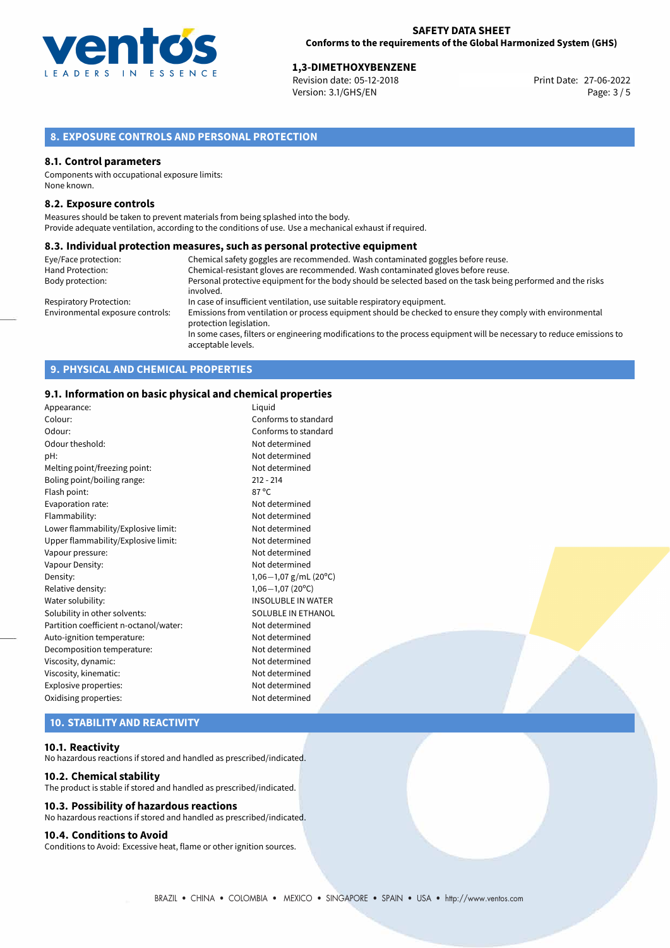

**1,3-DIMETHOXYBENZENE**<br>
Revision date: 05-12-2018 **Print Date: 27-06-2022** Version: 3.1/GHS/EN Page: 3 / 5

# **8. EXPOSURE CONTROLS AND PERSONAL PROTECTION**

#### **8.1. Control parameters**

Components with occupational exposure limits: None known.

### **8.2. Exposure controls**

Measures should be taken to prevent materials from being splashed into the body. Provide adequate ventilation, according to the conditions of use. Use a mechanical exhaust if required.

#### **8.3. Individual protection measures, such as personal protective equipment**

| Eye/Face protection:             | Chemical safety goggles are recommended. Wash contaminated goggles before reuse.                                                            |
|----------------------------------|---------------------------------------------------------------------------------------------------------------------------------------------|
| Hand Protection:                 | Chemical-resistant gloves are recommended. Wash contaminated gloves before reuse.                                                           |
| Body protection:                 | Personal protective equipment for the body should be selected based on the task being performed and the risks<br>involved.                  |
| Respiratory Protection:          | In case of insufficient ventilation, use suitable respiratory equipment.                                                                    |
| Environmental exposure controls: | Emissions from ventilation or process equipment should be checked to ensure they comply with environmental<br>protection legislation.       |
|                                  | In some cases, filters or engineering modifications to the process equipment will be necessary to reduce emissions to<br>acceptable levels. |

# **9. PHYSICAL AND CHEMICAL PROPERTIES**

### **9.1. Information on basic physical and chemical properties**

| Appearance:                            | Liguid                     |
|----------------------------------------|----------------------------|
| Colour:                                | Conforms to standard       |
| Odour:                                 | Conforms to standard       |
| Odour theshold:                        | Not determined             |
| pH:                                    | Not determined             |
| Melting point/freezing point:          | Not determined             |
| Boling point/boiling range:            | $212 - 214$                |
| Flash point:                           | 87 °C                      |
| Evaporation rate:                      | Not determined             |
| Flammability:                          | Not determined             |
| Lower flammability/Explosive limit:    | Not determined             |
| Upper flammability/Explosive limit:    | Not determined             |
| Vapour pressure:                       | Not determined             |
| Vapour Density:                        | Not determined             |
| Density:                               | 1,06 $-1,07$ g/mL (20°C)   |
| Relative density:                      | $1,06 - 1,07(20^{\circ}C)$ |
| Water solubility:                      | <b>INSOLUBLE IN WATER</b>  |
| Solubility in other solvents:          | SOLUBLE IN ETHANOL         |
| Partition coefficient n-octanol/water: | Not determined             |
| Auto-ignition temperature:             | Not determined             |
| Decomposition temperature:             | Not determined             |
| Viscosity, dynamic:                    | Not determined             |
| Viscosity, kinematic:                  | Not determined             |
| Explosive properties:                  | Not determined             |
| Oxidising properties:                  | Not determined             |
|                                        |                            |

# **10. STABILITY AND REACTIVITY**

#### **10.1. Reactivity**

No hazardous reactions if stored and handled as prescribed/indicated.

#### **10.2. Chemical stability**

The product is stable if stored and handled as prescribed/indicated.

# **10.3. Possibility of hazardous reactions**

No hazardous reactions if stored and handled as prescribed/indicated.

# **10.4. Conditions to Avoid**

Conditions to Avoid: Excessive heat, flame or other ignition sources.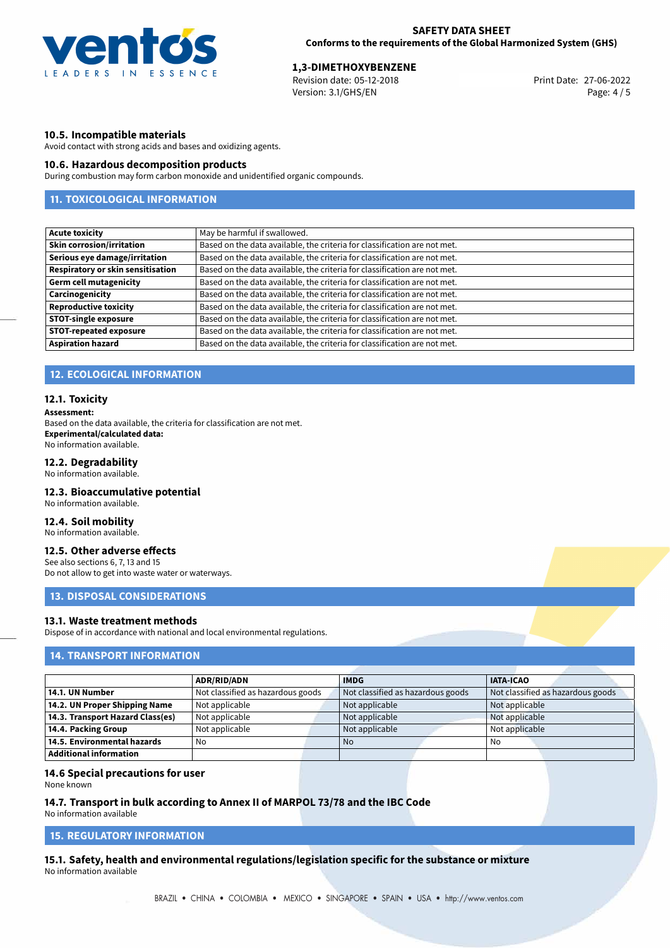

**1,3-DIMETHOXYBENZENE**<br>
Revision date: 05-12-2018 **Print Date: 27-06-2022** Version: 3.1/GHS/EN Page: 4 / 5

# **10.5. Incompatible materials**

Avoid contact with strong acids and bases and oxidizing agents.

# **10.6. Hazardous decomposition products**

During combustion may form carbon monoxide and unidentified organic compounds.

# **11. TOXICOLOGICAL INFORMATION**

| <b>Acute toxicity</b>                    | May be harmful if swallowed.                                              |
|------------------------------------------|---------------------------------------------------------------------------|
| <b>Skin corrosion/irritation</b>         | Based on the data available, the criteria for classification are not met. |
| Serious eye damage/irritation            | Based on the data available, the criteria for classification are not met. |
| <b>Respiratory or skin sensitisation</b> | Based on the data available, the criteria for classification are not met. |
| <b>Germ cell mutagenicity</b>            | Based on the data available, the criteria for classification are not met. |
| Carcinogenicity                          | Based on the data available, the criteria for classification are not met. |
| <b>Reproductive toxicity</b>             | Based on the data available, the criteria for classification are not met. |
| <b>STOT-single exposure</b>              | Based on the data available, the criteria for classification are not met. |
| <b>STOT-repeated exposure</b>            | Based on the data available, the criteria for classification are not met. |
| <b>Aspiration hazard</b>                 | Based on the data available, the criteria for classification are not met. |

# **12. ECOLOGICAL INFORMATION**

#### **12.1. Toxicity**

#### **Assessment:**

Based on the data available, the criteria for classification are not met. **Experimental/calculated data:** No information available.

# **12.2. Degradability**

No information available.

## **12.3. Bioaccumulative potential**

No information available.

# **12.4. Soil mobility**

No information available.

# **12.5. Other adverse effects**

See also sections 6, 7, 13 and 15 Do not allow to get into waste water or waterways.

# **13. DISPOSAL CONSIDERATIONS**

# **13.1. Waste treatment methods**

Dispose of in accordance with national and local environmental regulations.

# **14. TRANSPORT INFORMATION**

|                                    | <b>ADR/RID/ADN</b>                | <b>IMDG</b>                       | <b>IATA-ICAO</b>                  |
|------------------------------------|-----------------------------------|-----------------------------------|-----------------------------------|
| 14.1. UN Number                    | Not classified as hazardous goods | Not classified as hazardous goods | Not classified as hazardous goods |
| 14.2. UN Proper Shipping Name      | Not applicable                    | Not applicable                    | Not applicable                    |
| 14.3. Transport Hazard Class(es)   | Not applicable                    | Not applicable                    | Not applicable                    |
| 14.4. Packing Group                | Not applicable                    | Not applicable                    | Not applicable                    |
| $\mid$ 14.5. Environmental hazards | No                                | No.                               | No                                |
| Additional information             |                                   |                                   |                                   |

#### **14.6 Special precautions for user**

None known

# **14.7. Transport in bulk according to Annex II of MARPOL 73/78 and the IBC Code**

No information available

# **15. REGULATORY INFORMATION**

**15.1. Safety, health and environmental regulations/legislation specific for the substance or mixture** No information available